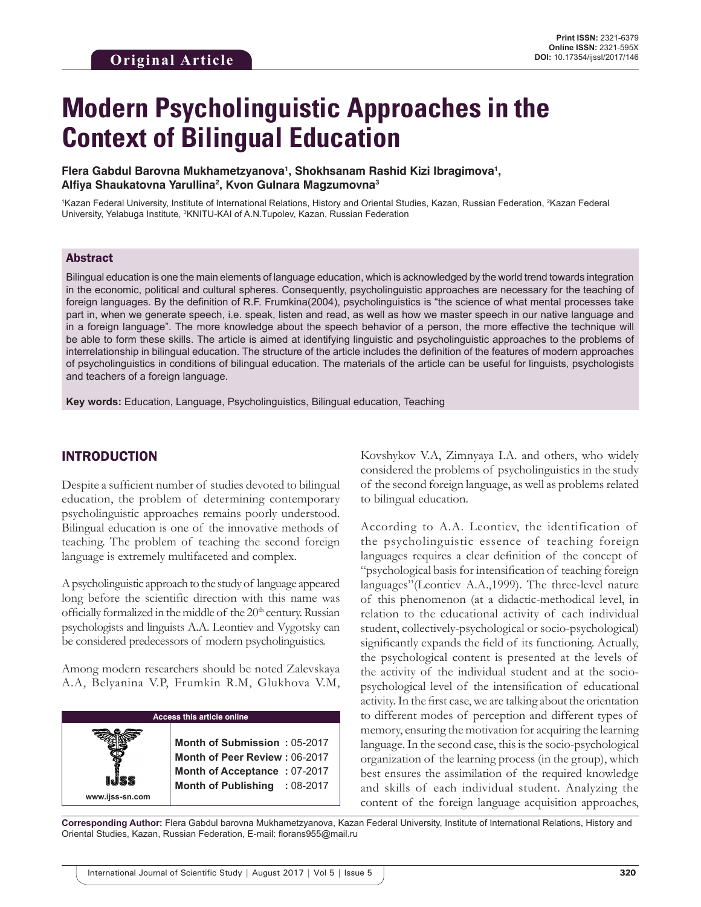# **Modern Psycholinguistic Approaches in the Context of Bilingual Education**

#### **Flera Gabdul Barovna Mukhametzyanova1 , Shokhsanam Rashid Kizi Ibragimova1 , Alfiya Shaukatovna Yarullina2 , Kvon Gulnara Magzumovna3**

<sup>1</sup>Kazan Federal University, Institute of International Relations, History and Oriental Studies, Kazan, Russian Federation, <sup>2</sup>Kazan Federal University, Yelabuga Institute, <sup>3</sup>KNITU-KAI of A.N.Tupolev, Kazan, Russian Federation

#### Abstract

Bilingual education is one the main elements of language education, which is acknowledged by the world trend towards integration in the economic, political and cultural spheres. Consequently, psycholinguistic approaches are necessary for the teaching of foreign languages. By the definition of R.F. Frumkina(2004), psycholinguistics is "the science of what mental processes take part in, when we generate speech, i.e. speak, listen and read, as well as how we master speech in our native language and in a foreign language". The more knowledge about the speech behavior of a person, the more effective the technique will be able to form these skills. The article is aimed at identifying linguistic and psycholinguistic approaches to the problems of interrelationship in bilingual education. The structure of the article includes the definition of the features of modern approaches of psycholinguistics in conditions of bilingual education. The materials of the article can be useful for linguists, psychologists and teachers of a foreign language.

**Key words:** Education, Language, Psycholinguistics, Bilingual education, Teaching

#### INTRODUCTION

Despite a sufficient number of studies devoted to bilingual education, the problem of determining contemporary psycholinguistic approaches remains poorly understood. Bilingual education is one of the innovative methods of teaching. The problem of teaching the second foreign language is extremely multifaceted and complex.

A psycholinguistic approach to the study of language appeared long before the scientific direction with this name was officially formalized in the middle of the 20<sup>th</sup> century. Russian psychologists and linguists A.A. Leontiev and Vygotsky can be considered predecessors of modern psycholinguistics.

Among modern researchers should be noted Zalevskaya A.A, Belyanina V.P, Frumkin R.M, Glukhova V.M,

| <b>Access this article online</b> |                                                                                                                                |  |  |  |  |  |  |
|-----------------------------------|--------------------------------------------------------------------------------------------------------------------------------|--|--|--|--|--|--|
| www.ijss-sn.com                   | Month of Submission: 05-2017<br>Month of Peer Review: 06-2017<br>Month of Acceptance: 07-2017<br>Month of Publishing : 08-2017 |  |  |  |  |  |  |

Kovshykov V.A, Zimnyaya I.A. and others, who widely considered the problems of psycholinguistics in the study of the second foreign language, as well as problems related to bilingual education.

According to A.A. Leontiev, the identification of the psycholinguistic essence of teaching foreign languages requires a clear definition of the concept of "psychological basis for intensification of teaching foreign languages"(Leontiev A.A.,1999). The three-level nature of this phenomenon (at a didactic-methodical level, in relation to the educational activity of each individual student, collectively-psychological or socio-psychological) significantly expands the field of its functioning. Actually, the psychological content is presented at the levels of the activity of the individual student and at the sociopsychological level of the intensification of educational activity. In the first case, we are talking about the orientation to different modes of perception and different types of memory, ensuring the motivation for acquiring the learning language. In the second case, this is the socio-psychological organization of the learning process (in the group), which best ensures the assimilation of the required knowledge and skills of each individual student. Analyzing the content of the foreign language acquisition approaches,

**Corresponding Author:** Flera Gabdul barovna Mukhametzyanova, Kazan Federal University, Institute of International Relations, History and Oriental Studies, Kazan, Russian Federation, E-mail: florans955@mail.ru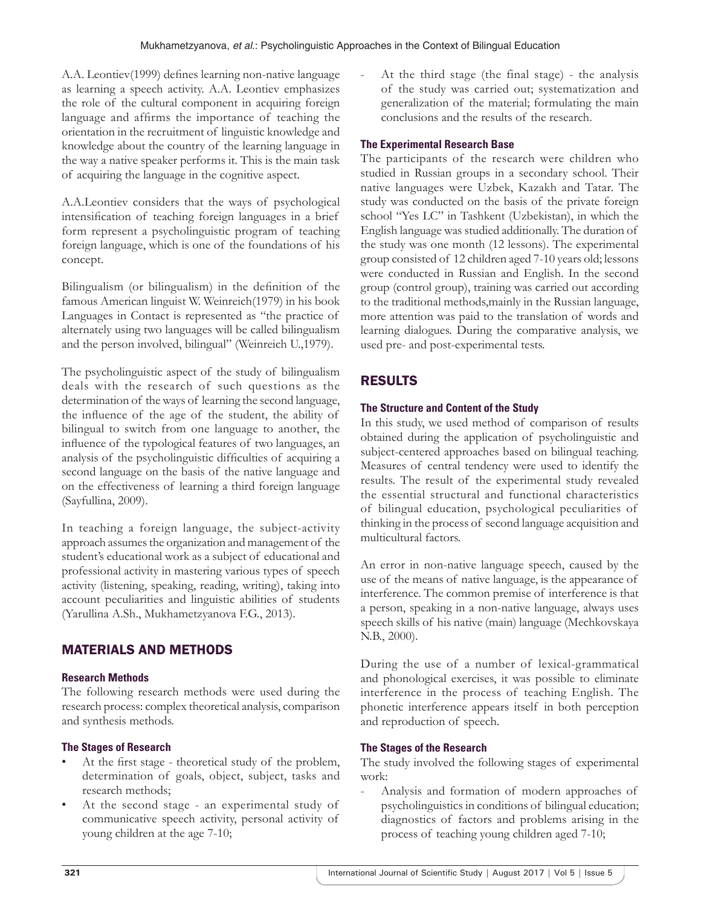A.A. Leontiev(1999) defines learning non-native language as learning a speech activity. A.A. Leontiev emphasizes the role of the cultural component in acquiring foreign language and affirms the importance of teaching the orientation in the recruitment of linguistic knowledge and knowledge about the country of the learning language in the way a native speaker performs it. This is the main task of acquiring the language in the cognitive aspect.

A.A.Leontiev considers that the ways of psychological intensification of teaching foreign languages in a brief form represent a psycholinguistic program of teaching foreign language, which is one of the foundations of his concept.

Bilingualism (or bilingualism) in the definition of the famous American linguist W. Weinreich(1979) in his book Languages in Contact is represented as "the practice of alternately using two languages will be called bilingualism and the person involved, bilingual" (Weinreich U.,1979).

The psycholinguistic aspect of the study of bilingualism deals with the research of such questions as the determination of the ways of learning the second language, the influence of the age of the student, the ability of bilingual to switch from one language to another, the influence of the typological features of two languages, an analysis of the psycholinguistic difficulties of acquiring a second language on the basis of the native language and on the effectiveness of learning a third foreign language (Sayfullina, 2009).

In teaching a foreign language, the subject-activity approach assumes the organization and management of the student's educational work as a subject of educational and professional activity in mastering various types of speech activity (listening, speaking, reading, writing), taking into account peculiarities and linguistic abilities of students (Yarullina A.Sh., Mukhametzyanova F.G., 2013).

## MATERIALS AND METHODS

#### **Research Methods**

The following research methods were used during the research process: complex theoretical analysis, comparison and synthesis methods.

#### **The Stages of Research**

- At the first stage theoretical study of the problem, determination of goals, object, subject, tasks and research methods;
- At the second stage an experimental study of communicative speech activity, personal activity of young children at the age 7-10;

At the third stage (the final stage) - the analysis of the study was carried out; systematization and generalization of the material; formulating the main conclusions and the results of the research.

#### **The Experimental Research Base**

The participants of the research were children who studied in Russian groups in a secondary school. Their native languages were Uzbek, Kazakh and Tatar. The study was conducted on the basis of the private foreign school "Yes LC" in Tashkent (Uzbekistan), in which the English language was studied additionally. The duration of the study was one month (12 lessons). The experimental group consisted of 12 children aged 7-10 years old; lessons were conducted in Russian and English. In the second group (control group), training was carried out according to the traditional methods,mainly in the Russian language, more attention was paid to the translation of words and learning dialogues. During the comparative analysis, we used pre- and post-experimental tests.

## RESULTS

#### **The Structure and Content of the Study**

In this study, we used method of comparison of results obtained during the application of psycholinguistic and subject-centered approaches based on bilingual teaching. Measures of central tendency were used to identify the results. The result of the experimental study revealed the essential structural and functional characteristics of bilingual education, psychological peculiarities of thinking in the process of second language acquisition and multicultural factors.

An error in non-native language speech, caused by the use of the means of native language, is the appearance of interference. The common premise of interference is that a person, speaking in a non-native language, always uses speech skills of his native (main) language (Mechkovskaya N.B., 2000).

During the use of a number of lexical-grammatical and phonological exercises, it was possible to eliminate interference in the process of teaching English. The phonetic interference appears itself in both perception and reproduction of speech.

#### **The Stages of the Research**

The study involved the following stages of experimental work:

- Analysis and formation of modern approaches of psycholinguistics in conditions of bilingual education; diagnostics of factors and problems arising in the process of teaching young children aged 7-10;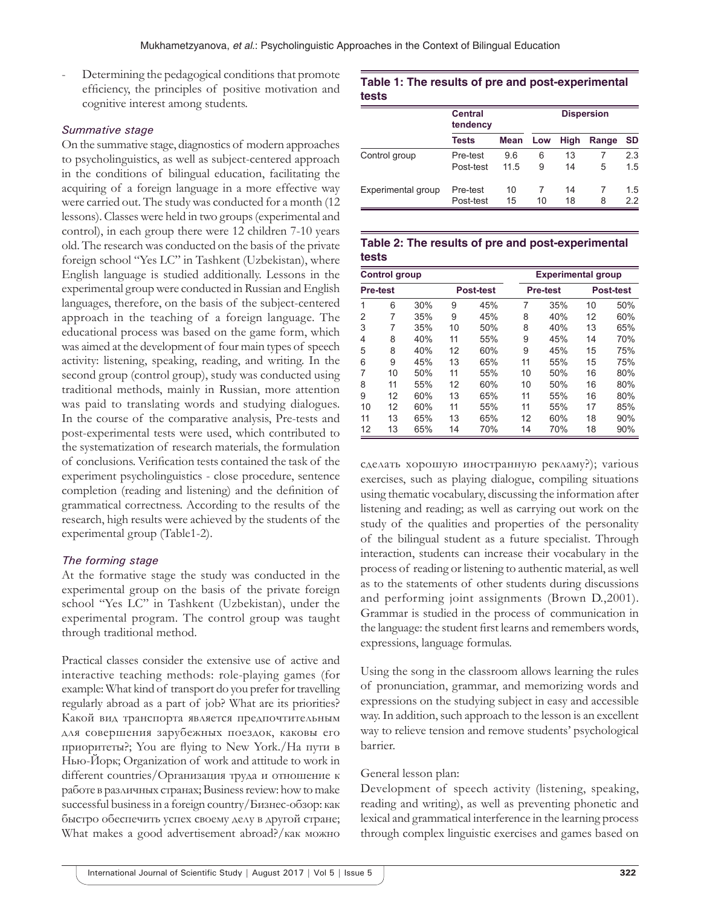Determining the pedagogical conditions that promote efficiency, the principles of positive motivation and cognitive interest among students.

#### *Summative stage*

On the summative stage, diagnostics of modern approaches to psycholinguistics, as well as subject-centered approach in the conditions of bilingual education, facilitating the acquiring of a foreign language in a more effective way were carried out. The study was conducted for a month (12 lessons). Classes were held in two groups (experimental and control), in each group there were 12 children 7-10 years old. The research was conducted on the basis of the private foreign school "Yes LC" in Tashkent (Uzbekistan), where English language is studied additionally. Lessons in the experimental group were conducted in Russian and English languages, therefore, on the basis of the subject-centered approach in the teaching of a foreign language. The educational process was based on the game form, which was aimed at the development of four main types of speech activity: listening, speaking, reading, and writing. In the second group (control group), study was conducted using traditional methods, mainly in Russian, more attention was paid to translating words and studying dialogues. In the course of the comparative analysis, Pre-tests and post-experimental tests were used, which contributed to the systematization of research materials, the formulation of conclusions. Verification tests contained the task of the experiment psycholinguistics - close procedure, sentence completion (reading and listening) and the definition of grammatical correctness. According to the results of the research, high results were achieved by the students of the experimental group (Table1-2).

#### *The forming stage*

At the formative stage the study was conducted in the experimental group on the basis of the private foreign school "Yes LC" in Tashkent (Uzbekistan), under the experimental program. The control group was taught through traditional method.

Practical classes consider the extensive use of active and interactive teaching methods: role-playing games (for example: What kind of transport do you prefer for travelling regularly abroad as a part of job? What are its priorities? Какой вид транспорта является предпочтительным для совершения зарубежных поездок, каковы его приоритеты?; You are flying to New York./На пути в Нью-Йорк; Organization of work and attitude to work in different countries/Организация труда и отношение к работе в различных странах; Business review: how to make successful business in a foreign country/Бизнес-обзор: как быстро обеспечить успех своему делу в другой стране; What makes a good advertisement abroad?/как можно

#### **Table 1: The results of pre and post‑experimental tests**

|                    | <b>Central</b><br>tendency |      | <b>Dispersion</b> |      |       |     |
|--------------------|----------------------------|------|-------------------|------|-------|-----|
|                    | <b>Tests</b>               | Mean | Low               | High | Range | SD  |
| Control group      | Pre-test                   | 9.6  | 6                 | 13   |       | 2.3 |
|                    | Post-test                  | 11.5 | 9                 | 14   | 5     | 1.5 |
| Experimental group | Pre-test                   | 10   |                   | 14   |       | 1.5 |
|                    | Post-test                  | 15   | 10                | 18   | 8     | 22  |

#### **Table 2: The results of pre and post‑experimental tests**

| <b>Control group</b> |    |                  |    |                 |    | <b>Experimental group</b> |    |     |  |
|----------------------|----|------------------|----|-----------------|----|---------------------------|----|-----|--|
| <b>Pre-test</b>      |    | <b>Post-test</b> |    | <b>Pre-test</b> |    | <b>Post-test</b>          |    |     |  |
| 1                    | 6  | 30%              | 9  | 45%             | 7  | 35%                       | 10 | 50% |  |
| 2                    | 7  | 35%              | 9  | 45%             | 8  | 40%                       | 12 | 60% |  |
| 3                    | 7  | 35%              | 10 | 50%             | 8  | 40%                       | 13 | 65% |  |
| 4                    | 8  | 40%              | 11 | 55%             | 9  | 45%                       | 14 | 70% |  |
| 5                    | 8  | 40%              | 12 | 60%             | 9  | 45%                       | 15 | 75% |  |
| 6                    | 9  | 45%              | 13 | 65%             | 11 | 55%                       | 15 | 75% |  |
| 7                    | 10 | 50%              | 11 | 55%             | 10 | 50%                       | 16 | 80% |  |
| 8                    | 11 | 55%              | 12 | 60%             | 10 | 50%                       | 16 | 80% |  |
| 9                    | 12 | 60%              | 13 | 65%             | 11 | 55%                       | 16 | 80% |  |
| 10                   | 12 | 60%              | 11 | 55%             | 11 | 55%                       | 17 | 85% |  |
| 11                   | 13 | 65%              | 13 | 65%             | 12 | 60%                       | 18 | 90% |  |
| 12                   | 13 | 65%              | 14 | 70%             | 14 | 70%                       | 18 | 90% |  |

сделать хорошую иностранную рекламу?); various exercises, such as playing dialogue, compiling situations using thematic vocabulary, discussing the information after listening and reading; as well as carrying out work on the study of the qualities and properties of the personality of the bilingual student as a future specialist. Through interaction, students can increase their vocabulary in the process of reading or listening to authentic material, as well as to the statements of other students during discussions and performing joint assignments (Brown D.,2001). Grammar is studied in the process of communication in the language: the student first learns and remembers words, expressions, language formulas.

Using the song in the classroom allows learning the rules of pronunciation, grammar, and memorizing words and expressions on the studying subject in easy and accessible way. In addition, such approach to the lesson is an excellent way to relieve tension and remove students' psychological barrier.

#### General lesson plan:

Development of speech activity (listening, speaking, reading and writing), as well as preventing phonetic and lexical and grammatical interference in the learning process through complex linguistic exercises and games based on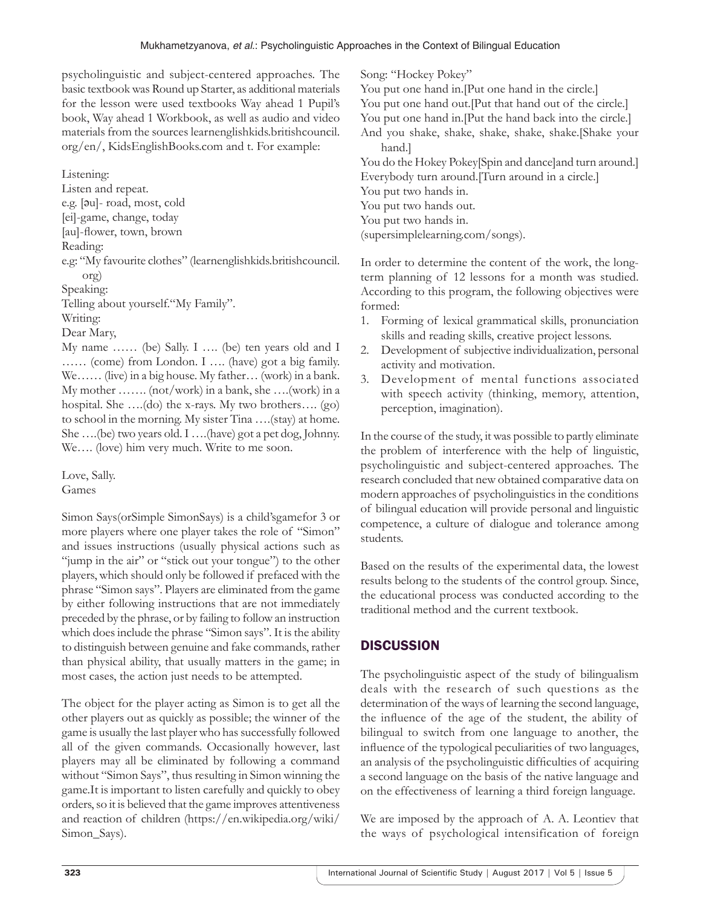psycholinguistic and subject-centered approaches. The basic textbook was Round up Starter, as additional materials for the lesson were used textbooks Way ahead 1 Pupil's book, Way ahead 1 Workbook, as well as audio and video materials from the sources learnenglishkids.britishcouncil. org/en/, KidsEnglishBooks.com and t. For example:

Listening: Listen and repeat. e.g. [әu]- road, most, cold [ei]-game, change, today [au]-flower, town, brown Reading: e.g: "My favourite clothes" (learnenglishkids.britishcouncil. org) Speaking: Telling about yourself."My Family". Writing: Dear Mary, My name …… (be) Sally. I …. (be) ten years old and I …… (come) from London. I …. (have) got a big family. We…… (live) in a big house. My father… (work) in a bank. My mother ……. (not/work) in a bank, she ….(work) in a hospital. She ….(do) the x-rays. My two brothers…. (go) to school in the morning. My sister Tina ….(stay) at home. She ….(be) two years old. I ….(have) got a pet dog, Johnny. We…. (love) him very much. Write to me soon.

Love, Sally. Games

Simon Says(orSimple SimonSays) is a child'sgamefor 3 or more players where one player takes the role of "Simon" and issues instructions (usually physical actions such as "jump in the air" or "stick out your tongue") to the other players, which should only be followed if prefaced with the phrase "Simon says". Players are eliminated from the game by either following instructions that are not immediately preceded by the phrase, or by failing to follow an instruction which does include the phrase "Simon says". It is the ability to distinguish between genuine and fake commands, rather than physical ability, that usually matters in the game; in most cases, the action just needs to be attempted.

The object for the player acting as Simon is to get all the other players out as quickly as possible; the winner of the game is usually the last player who has successfully followed all of the given commands. Occasionally however, last players may all be eliminated by following a command without "Simon Says", thus resulting in Simon winning the game.It is important to listen carefully and quickly to obey orders, so it is believed that the game improves attentiveness and reaction of children (https://en.wikipedia.org/wiki/ Simon\_Says).

Song: "Hockey Pokey"

You put one hand in.[Put one hand in the circle.]

You put one hand out.[Put that hand out of the circle.]

You put one hand in.[Put the hand back into the circle.]

And you shake, shake, shake, shake, shake.[Shake your hand.]

You do the Hokey Pokey[Spin and dance]and turn around.] Everybody turn around.[Turn around in a circle.] You put two hands in. You put two hands out. You put two hands in. (supersimplelearning.com/songs).

In order to determine the content of the work, the longterm planning of 12 lessons for a month was studied. According to this program, the following objectives were formed:

- 1. Forming of lexical grammatical skills, pronunciation skills and reading skills, creative project lessons.
- 2. Development of subjective individualization, personal activity and motivation.
- 3. Development of mental functions associated with speech activity (thinking, memory, attention, perception, imagination).

In the course of the study, it was possible to partly eliminate the problem of interference with the help of linguistic, psycholinguistic and subject-centered approaches. The research concluded that new obtained comparative data on modern approaches of psycholinguistics in the conditions of bilingual education will provide personal and linguistic competence, a culture of dialogue and tolerance among students.

Based on the results of the experimental data, the lowest results belong to the students of the control group. Since, the educational process was conducted according to the traditional method and the current textbook.

# **DISCUSSION**

The psycholinguistic aspect of the study of bilingualism deals with the research of such questions as the determination of the ways of learning the second language, the influence of the age of the student, the ability of bilingual to switch from one language to another, the influence of the typological peculiarities of two languages, an analysis of the psycholinguistic difficulties of acquiring a second language on the basis of the native language and on the effectiveness of learning a third foreign language.

We are imposed by the approach of A. A. Leontiev that the ways of psychological intensification of foreign